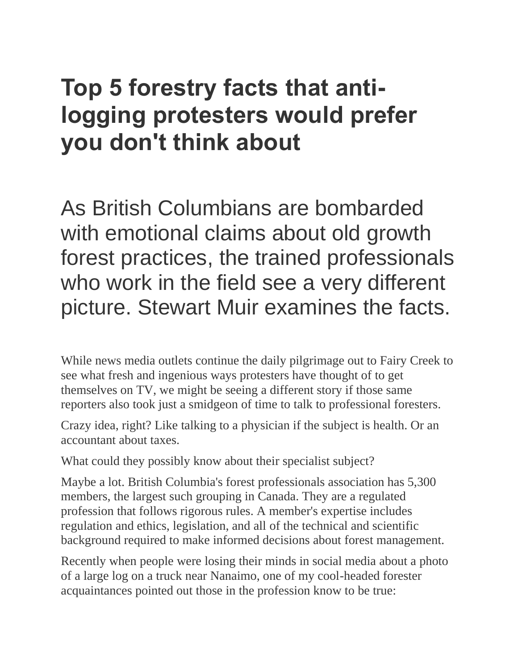# **Top 5 forestry facts that antilogging protesters would prefer you don't think about**

As British Columbians are bombarded with emotional claims about old growth forest practices, the trained professionals who work in the field see a very different picture. Stewart Muir examines the facts.

While news media outlets continue the daily pilgrimage out to Fairy Creek to see what fresh and ingenious ways protesters have thought of to get themselves on TV, we might be seeing a different story if those same reporters also took just a smidgeon of time to talk to professional foresters.

Crazy idea, right? Like talking to a physician if the subject is health. Or an accountant about taxes.

What could they possibly know about their specialist subject?

Maybe a lot. British Columbia's forest professionals association has 5,300 members, the largest such grouping in Canada. They are a regulated profession that follows rigorous rules. A member's expertise includes regulation and ethics, legislation, and all of the technical and scientific background required to make informed decisions about forest management.

Recently when people were losing their minds in social media about a photo of a large log on a truck near Nanaimo, one of my cool-headed forester acquaintances pointed out those in the profession know to be true: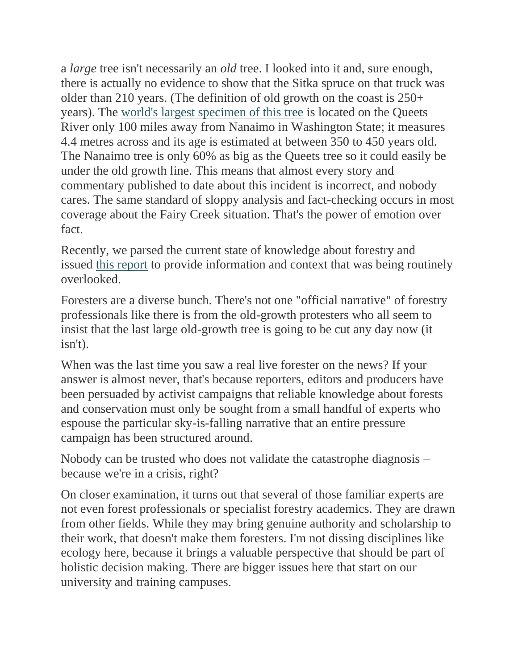a *large* tree isn't necessarily an *old* tree. I looked into it and, sure enough, there is actually no evidence to show that the Sitka spruce on that truck was older than 210 years. (The definition of old growth on the coast is 250+ years). The [world's largest specimen of this tree](https://en.wikipedia.org/wiki/Picea_sitchensis) is located on the Queets River only 100 miles away from Nanaimo in Washington State; it measures 4.4 metres across and its age is estimated at between 350 to 450 years old. The Nanaimo tree is only 60% as big as the Queets tree so it could easily be under the old growth line. This means that almost every story and commentary published to date about this incident is incorrect, and nobody cares. The same standard of sloppy analysis and fact-checking occurs in most coverage about the Fairy Creek situation. That's the power of emotion over fact.

Recently, we parsed the current state of knowledge about forestry and issued [this report](https://www.resourceworks.com/forestry-in-bc) to provide information and context that was being routinely overlooked.

Foresters are a diverse bunch. There's not one "official narrative" of forestry professionals like there is from the old-growth protesters who all seem to insist that the last large old-growth tree is going to be cut any day now (it isn't).

When was the last time you saw a real live forester on the news? If your answer is almost never, that's because reporters, editors and producers have been persuaded by activist campaigns that reliable knowledge about forests and conservation must only be sought from a small handful of experts who espouse the particular sky-is-falling narrative that an entire pressure campaign has been structured around.

Nobody can be trusted who does not validate the catastrophe diagnosis – because we're in a crisis, right?

On closer examination, it turns out that several of those familiar experts are not even forest professionals or specialist forestry academics. They are drawn from other fields. While they may bring genuine authority and scholarship to their work, that doesn't make them foresters. I'm not dissing disciplines like ecology here, because it brings a valuable perspective that should be part of holistic decision making. There are bigger issues here that start on our university and training campuses.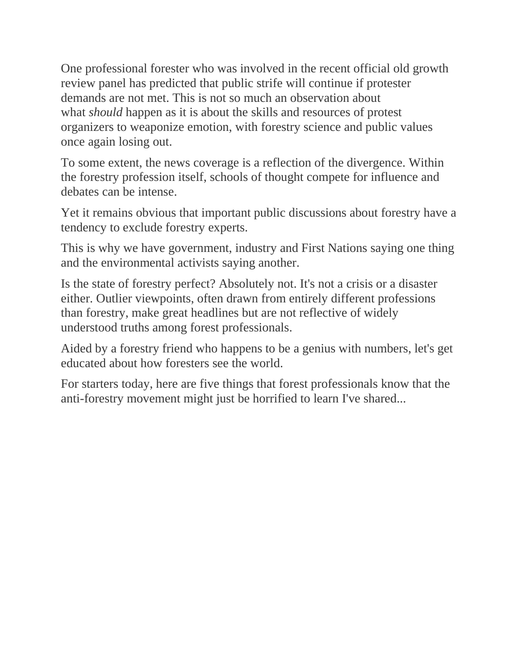One professional forester who was involved in the recent official old growth review panel has predicted that public strife will continue if protester demands are not met. This is not so much an observation about what *should* happen as it is about the skills and resources of protest organizers to weaponize emotion, with forestry science and public values once again losing out.

To some extent, the news coverage is a reflection of the divergence. Within the forestry profession itself, schools of thought compete for influence and debates can be intense.

Yet it remains obvious that important public discussions about forestry have a tendency to exclude forestry experts.

This is why we have government, industry and First Nations saying one thing and the environmental activists saying another.

Is the state of forestry perfect? Absolutely not. It's not a crisis or a disaster either. Outlier viewpoints, often drawn from entirely different professions than forestry, make great headlines but are not reflective of widely understood truths among forest professionals.

Aided by a forestry friend who happens to be a genius with numbers, let's get educated about how foresters see the world.

For starters today, here are five things that forest professionals know that the anti-forestry movement might just be horrified to learn I've shared...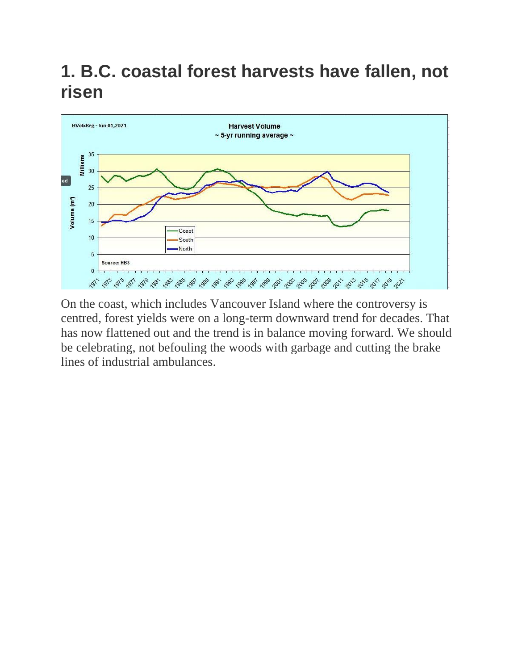### **1. B.C. coastal forest harvests have fallen, not risen**



On the coast, which includes Vancouver Island where the controversy is centred, forest yields were on a long-term downward trend for decades. That has now flattened out and the trend is in balance moving forward. We should be celebrating, not befouling the woods with garbage and cutting the brake lines of industrial ambulances.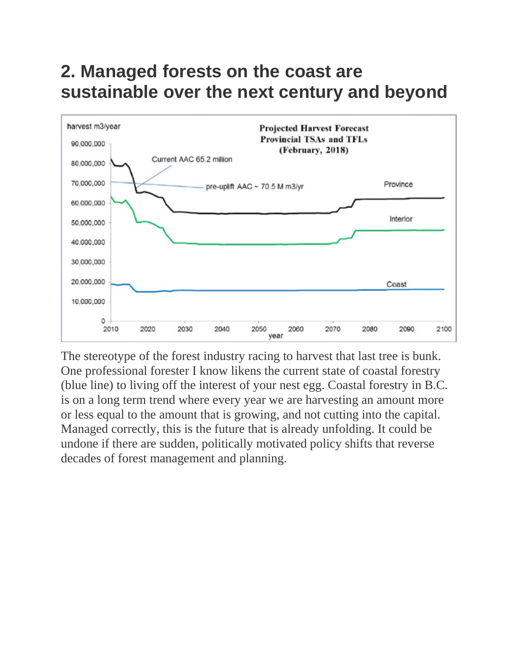#### **2. Managed forests on the coast are sustainable over the next century and beyond**



The stereotype of the forest industry racing to harvest that last tree is bunk. One professional forester I know likens the current state of coastal forestry (blue line) to living off the interest of your nest egg. Coastal forestry in B.C. is on a long term trend where every year we are harvesting an amount more or less equal to the amount that is growing, and not cutting into the capital. Managed correctly, this is the future that is already unfolding. It could be undone if there are sudden, politically motivated policy shifts that reverse decades of forest management and planning.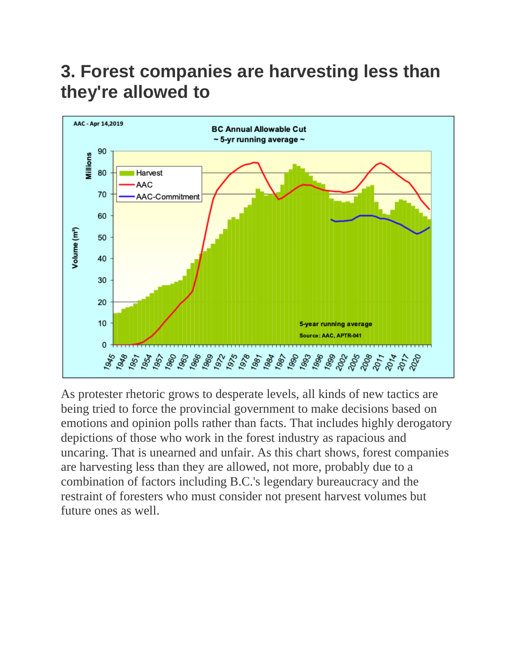# **3. Forest companies are harvesting less than they're allowed to**



As protester rhetoric grows to desperate levels, all kinds of new tactics are being tried to force the provincial government to make decisions based on emotions and opinion polls rather than facts. That includes highly derogatory depictions of those who work in the forest industry as rapacious and uncaring. That is unearned and unfair. As this chart shows, forest companies are harvesting less than they are allowed, not more, probably due to a combination of factors including B.C.'s legendary bureaucracy and the restraint of foresters who must consider not present harvest volumes but future ones as well.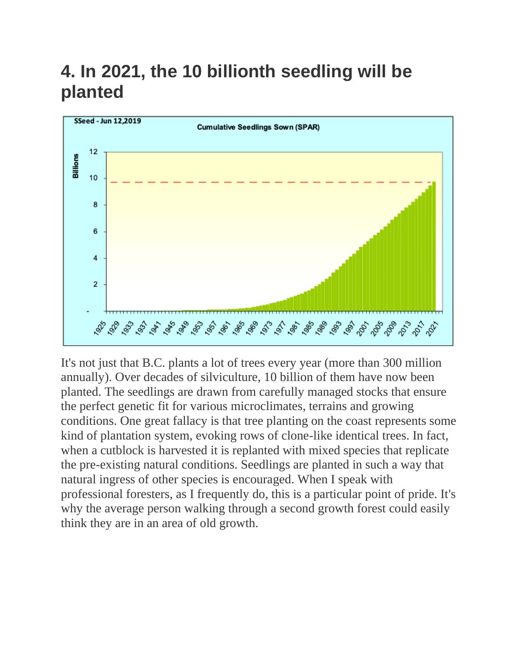# **4. In 2021, the 10 billionth seedling will be planted**



It's not just that B.C. plants a lot of trees every year (more than 300 million annually). Over decades of silviculture, 10 billion of them have now been planted. The seedlings are drawn from carefully managed stocks that ensure the perfect genetic fit for various microclimates, terrains and growing conditions. One great fallacy is that tree planting on the coast represents some kind of plantation system, evoking rows of clone-like identical trees. In fact, when a cutblock is harvested it is replanted with mixed species that replicate the pre-existing natural conditions. Seedlings are planted in such a way that natural ingress of other species is encouraged. When I speak with professional foresters, as I frequently do, this is a particular point of pride. It's why the average person walking through a second growth forest could easily think they are in an area of old growth.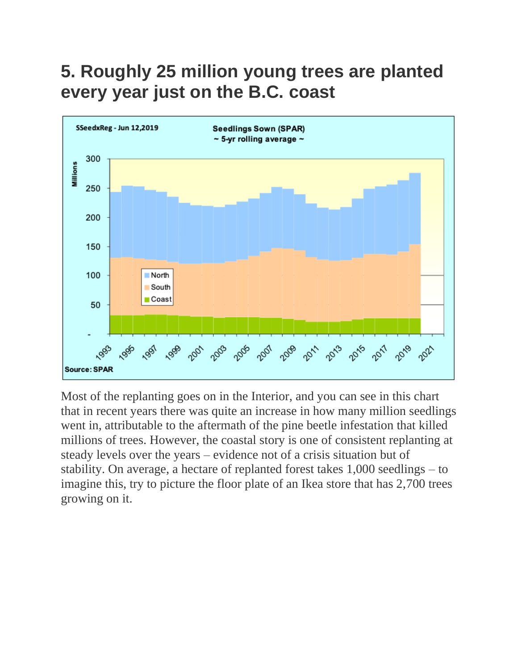#### **5. Roughly 25 million young trees are planted every year just on the B.C. coast**



Most of the replanting goes on in the Interior, and you can see in this chart that in recent years there was quite an increase in how many million seedlings went in, attributable to the aftermath of the pine beetle infestation that killed millions of trees. However, the coastal story is one of consistent replanting at steady levels over the years – evidence not of a crisis situation but of stability. On average, a hectare of replanted forest takes 1,000 seedlings – to imagine this, try to picture the floor plate of an Ikea store that has 2,700 trees growing on it.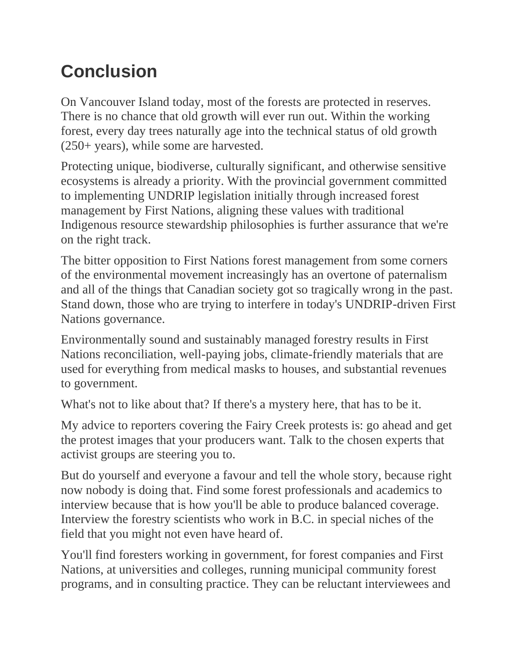# **Conclusion**

On Vancouver Island today, most of the forests are protected in reserves. There is no chance that old growth will ever run out. Within the working forest, every day trees naturally age into the technical status of old growth (250+ years), while some are harvested.

Protecting unique, biodiverse, culturally significant, and otherwise sensitive ecosystems is already a priority. With the provincial government committed to implementing UNDRIP legislation initially through increased forest management by First Nations, aligning these values with traditional Indigenous resource stewardship philosophies is further assurance that we're on the right track.

The bitter opposition to First Nations forest management from some corners of the environmental movement increasingly has an overtone of paternalism and all of the things that Canadian society got so tragically wrong in the past. Stand down, those who are trying to interfere in today's UNDRIP-driven First Nations governance.

Environmentally sound and sustainably managed forestry results in First Nations reconciliation, well-paying jobs, climate-friendly materials that are used for everything from medical masks to houses, and substantial revenues to government.

What's not to like about that? If there's a mystery here, that has to be it.

My advice to reporters covering the Fairy Creek protests is: go ahead and get the protest images that your producers want. Talk to the chosen experts that activist groups are steering you to.

But do yourself and everyone a favour and tell the whole story, because right now nobody is doing that. Find some forest professionals and academics to interview because that is how you'll be able to produce balanced coverage. Interview the forestry scientists who work in B.C. in special niches of the field that you might not even have heard of.

You'll find foresters working in government, for forest companies and First Nations, at universities and colleges, running municipal community forest programs, and in consulting practice. They can be reluctant interviewees and